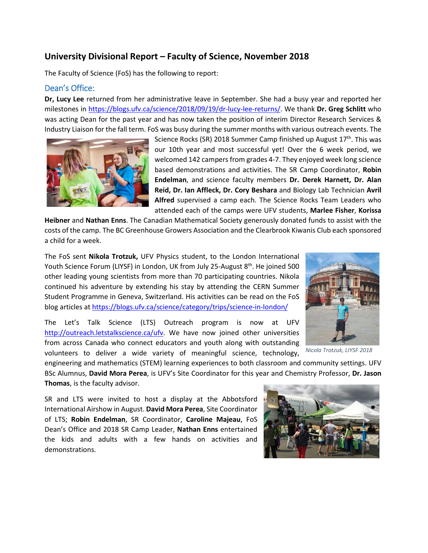# **University Divisional Report – Faculty of Science, November 2018**

The Faculty of Science (FoS) has the following to report:

#### Dean's Office:

**Dr, Lucy Lee** returned from her administrative leave in September. She had a busy year and reported her milestones in [https://blogs.ufv.ca/science/2018/09/19/dr-lucy-lee-returns/.](https://blogs.ufv.ca/science/2018/09/19/dr-lucy-lee-returns/) We thank **Dr. Greg Schlitt** who was acting Dean for the past year and has now taken the position of interim Director Research Services & Industry Liaison for the fall term. FoS was busy during the summer months with various outreach events. The



Science Rocks (SR) 2018 Summer Camp finished up August  $17<sup>th</sup>$ . This was our 10th year and most successful yet! Over the 6 week period, we welcomed 142 campers from grades 4-7. They enjoyed week long science based demonstrations and activities. The SR Camp Coordinator, **Robin Endelman**, and science faculty members **Dr. Derek Harnett, Dr. Alan Reid, Dr. Ian Affleck, Dr. Cory Beshara** and Biology Lab Technician **Avril Alfred** supervised a camp each. The Science Rocks Team Leaders who attended each of the camps were UFV students, **Marlee Fisher**, **Korissa** 

**Heibner** and **Nathan Enns**. The Canadian Mathematical Society generously donated funds to assist with the costs of the camp. The BC Greenhouse Growers Association and the Clearbrook Kiwanis Club each sponsored a child for a week.

The FoS sent **Nikola Trotzuk,** UFV Physics student, to the London International Youth Science Forum (LIYSF) in London, UK from July 25-August 8<sup>th</sup>. He joined 500 other leading young scientists from more than 70 participating countries. Nikola continued his adventure by extending his stay by attending the CERN Summer Student Programme in Geneva, Switzerland. His activities can be read on the FoS blog articles at<https://blogs.ufv.ca/science/category/trips/science-in-london/>

The Let's Talk Science (LTS) Outreach program is now at UFV [http://outreach.letstalkscience.ca/ufv.](http://outreach.letstalkscience.ca/ufv) We have now joined other universities from across Canada who connect educators and youth along with outstanding volunteers to deliver a wide variety of meaningful science, technology,



*Nicola Trotzuk, LIYSF 2018*

engineering and mathematics (STEM) learning experiences to both classroom and community settings. UFV BSc Alumnus, **David Mora Perea**, is UFV's Site Coordinator for this year and Chemistry Professor, **Dr. Jason Thomas**, is the faculty advisor.

SR and LTS were invited to host a display at the Abbotsford International Airshow in August. **David Mora Perea**, Site Coordinator of LTS; **Robin Endelman**, SR Coordinator, **Caroline Majeau**, FoS Dean's Office and 2018 SR Camp Leader, **Nathan Enns** entertained the kids and adults with a few hands on activities and demonstrations.

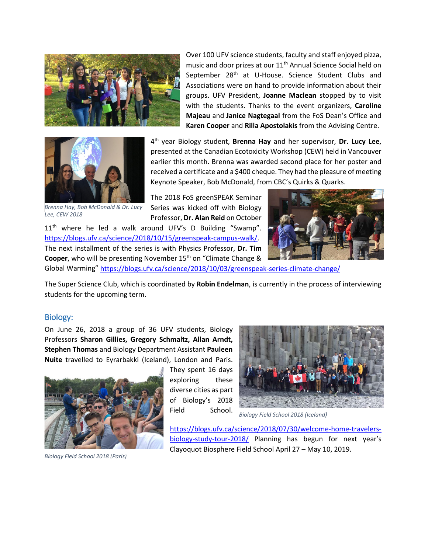



*Brenna Hay, Bob McDonald & Dr. Lucy Lee, CEW 2018*

Over 100 UFV science students, faculty and staff enjoyed pizza, music and door prizes at our 11<sup>th</sup> Annual Science Social held on September 28<sup>th</sup> at U-House. Science Student Clubs and Associations were on hand to provide information about their groups. UFV President, **Joanne Maclean** stopped by to visit with the students. Thanks to the event organizers, **Caroline Majeau** and **Janice Nagtegaal** from the FoS Dean's Office and **Karen Cooper** and **Rilla Apostolakis** from the Advising Centre.

4th year Biology student, **Brenna Hay** and her supervisor, **Dr. Lucy Lee**, presented at the Canadian Ecotoxicity Workshop (CEW) held in Vancouver earlier this month. Brenna was awarded second place for her poster and received a certificate and a \$400 cheque. They had the pleasure of meeting Keynote Speaker, Bob McDonald, from CBC's Quirks & Quarks.

The 2018 FoS greenSPEAK Seminar Series was kicked off with Biology Professor, **Dr. Alan Reid** on October

11<sup>th</sup> where he led a walk around UFV's D Building "Swamp". [https://blogs.ufv.ca/science/2018/10/15/greenspeak-campus-walk/.](https://blogs.ufv.ca/science/2018/10/15/greenspeak-campus-walk/) The next installment of the series is with Physics Professor, **Dr. Tim Cooper**, who will be presenting November 15<sup>th</sup> on "Climate Change & Global Warming"<https://blogs.ufv.ca/science/2018/10/03/greenspeak-series-climate-change/>



The Super Science Club, which is coordinated by **Robin Endelman**, is currently in the process of interviewing students for the upcoming term.

#### Biology:

On June 26, 2018 a group of 36 UFV students, Biology Professors **Sharon Gillies, Gregory Schmaltz, Allan Arndt, Stephen Thomas** and Biology Department Assistant **Pauleen Nuite** travelled to Eyrarbakki (Iceland), London and Paris.



*Biology Field School 2018 (Paris)*

They spent 16 days exploring these diverse cities as part of Biology's 2018 Field School.



*Biology Field School 2018 (Iceland)*

[https://blogs.ufv.ca/science/2018/07/30/welcome-home-travelers](https://blogs.ufv.ca/science/2018/07/30/welcome-home-travelers-biology-study-tour-2018/)[biology-study-tour-2018/](https://blogs.ufv.ca/science/2018/07/30/welcome-home-travelers-biology-study-tour-2018/) Planning has begun for next year's Clayoquot Biosphere Field School April 27 – May 10, 2019.